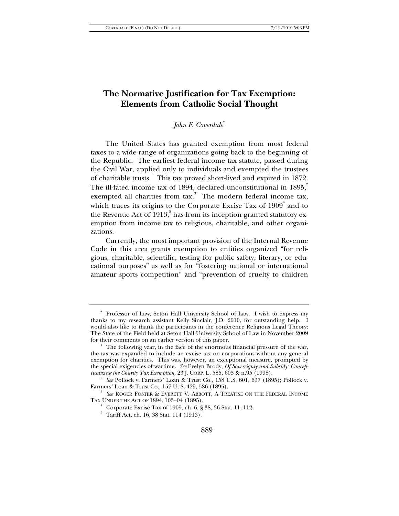# **The Normative Justification for Tax Exemption: Elements from Catholic Social Thought**

#### *John F. Coverdale*<sup>∗</sup>

The United States has granted exemption from most federal taxes to a wide range of organizations going back to the beginning of the Republic. The earliest federal income tax statute, passed during the Civil War, applied only to individuals and exempted the trustees of charitable trusts.<sup>1</sup> This tax proved short-lived and expired in 1872. The ill-fated income tax of 1894, declared unconstitutional in  $1895$ , exempted all charities from tax.<sup>3</sup> The modern federal income tax, which traces its origins to the Corporate Excise Tax of  $1909^4$  and to the Revenue Act of  $1913<sup>5</sup>$  has from its inception granted statutory exemption from income tax to religious, charitable, and other organizations.

Currently, the most important provision of the Internal Revenue Code in this area grants exemption to entities organized "for religious, charitable, scientific, testing for public safety, literary, or educational purposes" as well as for "fostering national or international amateur sports competition" and "prevention of cruelty to children

<sup>∗</sup> Professor of Law, Seton Hall University School of Law. I wish to express my thanks to my research assistant Kelly Sinclair, J.D. 2010, for outstanding help. I would also like to thank the participants in the conference Religious Legal Theory: The State of the Field held at Seton Hall University School of Law in November 2009 for their comments on an earlier version of this paper.

 $1$  The following year, in the face of the enormous financial pressure of the war, the tax was expanded to include an excise tax on corporations without any general exemption for charities. This was, however, an exceptional measure, prompted by the special exigencies of wartime. *See* Evelyn Brody, *Of Sovereignty and Subsidy: Conceptualizing the Charity Tax Exemption*, 23 J. CORP. L. 585, 605 & n.95 (1998). 2

*See* Pollock v. Farmers' Loan & Trust Co., 158 U.S. 601, 637 (1895); Pollock v. Farmers' Loan & Trust Co., 157 U. S. 429, 586 (1895). 3

*See* ROGER FOSTER & EVERETT V. ABBOTT, A TREATISE ON THE FEDERAL INCOME TAX UNDER THE ACT OF 1894, 103–04 (1895). 4

 $4$  Corporate Excise Tax of 1909, ch. 6, § 38, 36 Stat. 11, 112.

<sup>5</sup> Tariff Act, ch. 16, 38 Stat. 114 (1913).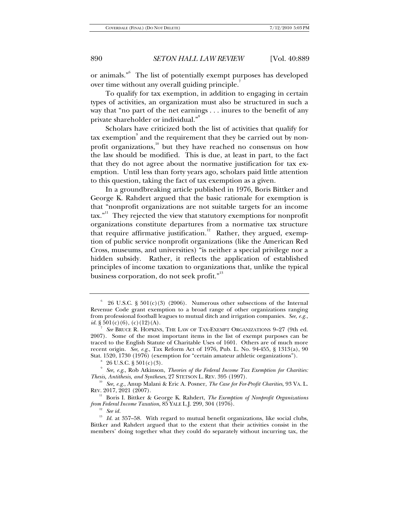or animals."<sup>6</sup> The list of potentially exempt purposes has developed over time without any overall guiding principle.<sup>4</sup>

To qualify for tax exemption, in addition to engaging in certain types of activities, an organization must also be structured in such a way that "no part of the net earnings . . . inures to the benefit of any private shareholder or individual."<sup>8</sup>

Scholars have criticized both the list of activities that qualify for tax exemption $^\circ$  and the requirement that they be carried out by nonprofit organizations, $\frac{10}{10}$  but they have reached no consensus on how the law should be modified. This is due, at least in part, to the fact that they do not agree about the normative justification for tax exemption. Until less than forty years ago, scholars paid little attention to this question, taking the fact of tax exemption as a given.

In a groundbreaking article published in 1976, Boris Bittker and George K. Rahdert argued that the basic rationale for exemption is that "nonprofit organizations are not suitable targets for an income  $\text{tax.}^{\text{all}}$  They rejected the view that statutory exemptions for nonprofit organizations constitute departures from a normative tax structure that require affirmative justification.<sup>12</sup> Rather, they argued, exemption of public service nonprofit organizations (like the American Red Cross, museums, and universities) "is neither a special privilege nor a hidden subsidy. Rather, it reflects the application of established principles of income taxation to organizations that, unlike the typical business corporation, do not seek profit."<sup>13</sup>

 $6$  26 U.S.C. § 501(c)(3) (2006). Numerous other subsections of the Internal Revenue Code grant exemption to a broad range of other organizations ranging from professional football leagues to mutual ditch and irrigation companies. *See, e.g.*, *id.* § 501(c)(6), (c)(12)(A).

<sup>7</sup>  *See* BRUCE R. HOPKINS, THE LAW OF TAX-EXEMPT ORGANIZATIONS 9–27 (9th ed. 2007). Some of the most important items in the list of exempt purposes can be traced to the English Statute of Charitable Uses of 1601. Others are of much more recent origin. *See, e.g.*, Tax Reform Act of 1976, Pub. L. No. 94-455, § 1313(a), 90 Stat. 1520, 1730 (1976) (exemption for "certain amateur athletic organizations").

 $^8$  26 U.S.C. § 501(c)(3).

<sup>&</sup>lt;sup>9</sup> See, e.g., Rob Atkinson, *Theories of the Federal Income Tax Exemption for Charities: Thesis, Antithesis, and Syntheses, 27 STETSON L. REV. 395 (1997).*<br><sup>10</sup> *See, e.g.*, Anup Malani & Eric A. Posner, *The Case for For-Profit Charities*, 93 VA. L.

REV. 2017, 2021 (2007).

<sup>&</sup>lt;sup>11</sup> Boris I. Bittker & George K. Rahdert, *The Exemption of Nonprofit Organizations from Federal Income Taxation*, 85 YALE L.J. 299, 304 (1976). 12 *See id.*

<sup>&</sup>lt;sup>13</sup> Id. at 357-58. With regard to mutual benefit organizations, like social clubs, Bittker and Rahdert argued that to the extent that their activities consist in the members' doing together what they could do separately without incurring tax, the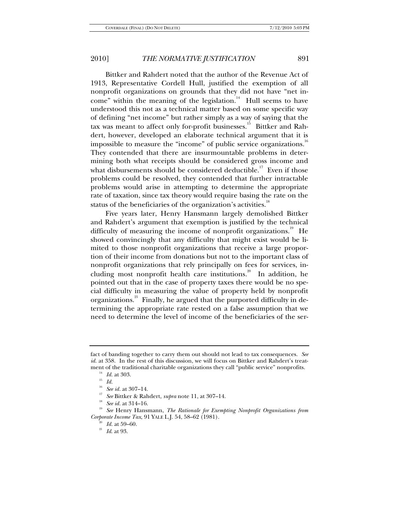Bittker and Rahdert noted that the author of the Revenue Act of 1913, Representative Cordell Hull, justified the exemption of all nonprofit organizations on grounds that they did not have "net income" within the meaning of the legislation.<sup>14</sup> Hull seems to have understood this not as a technical matter based on some specific way of defining "net income" but rather simply as a way of saying that the tax was meant to affect only for-profit businesses.<sup>15</sup> Bittker and Rahdert, however, developed an elaborate technical argument that it is impossible to measure the "income" of public service organizations.<sup>16</sup> They contended that there are insurmountable problems in determining both what receipts should be considered gross income and what disbursements should be considered deductible.<sup>17</sup> Even if those problems could be resolved, they contended that further intractable problems would arise in attempting to determine the appropriate rate of taxation, since tax theory would require basing the rate on the status of the beneficiaries of the organization's activities.<sup>18</sup>

Five years later, Henry Hansmann largely demolished Bittker and Rahdert's argument that exemption is justified by the technical difficulty of measuring the income of nonprofit organizations.<sup>19</sup> He showed convincingly that any difficulty that might exist would be limited to those nonprofit organizations that receive a large proportion of their income from donations but not to the important class of nonprofit organizations that rely principally on fees for services, including most nonprofit health care institutions.<sup>20</sup> In addition, he pointed out that in the case of property taxes there would be no special difficulty in measuring the value of property held by nonprofit organizations.<sup>21</sup> Finally, he argued that the purported difficulty in determining the appropriate rate rested on a false assumption that we need to determine the level of income of the beneficiaries of the ser-

<sup>16</sup> See id. at 307–14.<br><sup>17</sup> See Bittker & Rahdert, *supra* note 11, at 307–14.<br><sup>18</sup> See id. at 314–16. 19 *See Henry Hansmann, <i>The Rationale for Exempting Nonprofit Organizations from Corporate Income Tax*, 91 YALE L.J. 54, 58–62 (1981).<br><sup>20</sup> *Id.* at 59–60.<br>*<sup>21</sup> Id.* at 93.

fact of banding together to carry them out should not lead to tax consequences. *See id.* at 358. In the rest of this discussion, we will focus on Bittker and Rahdert's treatment of the traditional charitable organizations they call "public service" nonprofits.<br><sup>14</sup> *Id.* at 303.<br><sup>15</sup> *Id.* 15 Service 1027 14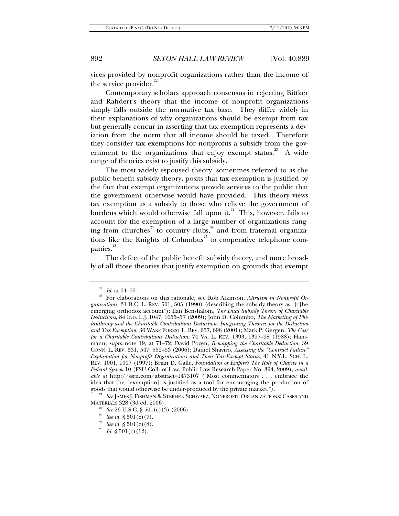vices provided by nonprofit organizations rather than the income of the service provider. $2^2$ 

Contemporary scholars approach consensus in rejecting Bittker and Rahdert's theory that the income of nonprofit organizations simply falls outside the normative tax base. They differ widely in their explanations of why organizations should be exempt from tax but generally concur in asserting that tax exemption represents a deviation from the norm that all income should be taxed. Therefore they consider tax exemptions for nonprofits a subsidy from the government to the organizations that enjoy exempt status.<sup>23</sup> A wide range of theories exist to justify this subsidy.

The most widely espoused theory, sometimes referred to as the public benefit subsidy theory, posits that tax exemption is justified by the fact that exempt organizations provide services to the public that the government otherwise would have provided. This theory views tax exemption as a subsidy to those who relieve the government of burdens which would otherwise fall upon it.<sup>24</sup> This, however, fails to account for the exemption of a large number of organizations ranging from churches<sup>25</sup> to country clubs,<sup>26</sup> and from fraternal organizations like the Knights of Columbus<sup> $27$ </sup> to cooperative telephone companies.<sup>28</sup>

The defect of the public benefit subsidy theory, and more broadly of all those theories that justify exemption on grounds that exempt

<sup>&</sup>lt;sup>22</sup> *Id.* at 64–66.<br><sup>23</sup> For elaborations on this rationale, see Rob Atkinson, *Altrusim in Nonprofit Organizations*, 31 B.C. L. REV. 501, 505 (1990) (describing the subsidy theory as "[t]he emerging orthodox account"); Ilan Benshalom, *The Dual Subsidy Theory of Charitable Deductions*, 84 IND. L.J. 1047, 1055–57 (2009); John D. Columbo, *The Marketing of Philanthropy and the Charitable Contributions Deduction: Integrating Theories for the Deduction and Tax Exemption*, 36 WAKE FOREST L. REV. 657, 698 (2001); Mark P. Gergen, *The Case for a Charitable Contributions Deduction*, 74 VA. L. REV. 1393, 1397–98 (1988); Hansmann, *supra* note 19, at 71–72; David Pozen, *Remapping the Charitable Deduction*, 39 CONN. L. REV. 531, 547, 552–53 (2006); Daniel Shaviro, *Assessing the "Contract Failure" Explanation for Nonprofit Organizations and Their Tax-Exempt Status*, 41 N.Y.L. SCH. L. REV. 1001, 1007 (1997); Brian D. Galle, *Foundation or Empire? The Role of Charity in a Federal System* 10 (FSU Coll. of Law, Public Law Research Paper No. 394, 2009), *available at* http://ssrn.com/abstract=1473107 ("Most commentators . . . embrace the idea that the [exemption] is justified as a tool for encouraging the production of goods that would otherwise be under-produced by the private market.").

<sup>&</sup>lt;sup>24</sup> See JAMES J. FISHMAN & STEPHEN SCHWARZ, NONPROFIT ORGANIZATIONS: CASES AND MATERIALS 328 (3d ed. 2006).

<sup>&</sup>lt;sup>25</sup> See 26 U.S.C. § 501(c)(3) (2006).<br><sup>26</sup> See *id.* § 501(c)(7).<br><sup>27</sup> See *id.* § 501(c)(8). *Id.* § 501(c)(12).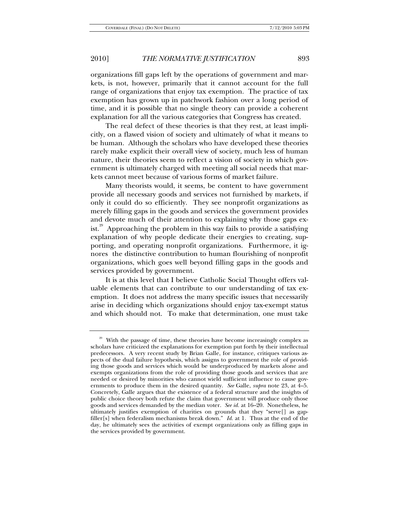organizations fill gaps left by the operations of government and markets, is not, however, primarily that it cannot account for the full range of organizations that enjoy tax exemption. The practice of tax exemption has grown up in patchwork fashion over a long period of time, and it is possible that no single theory can provide a coherent explanation for all the various categories that Congress has created.

The real defect of these theories is that they rest, at least implicitly, on a flawed vision of society and ultimately of what it means to be human. Although the scholars who have developed these theories rarely make explicit their overall view of society, much less of human nature, their theories seem to reflect a vision of society in which government is ultimately charged with meeting all social needs that markets cannot meet because of various forms of market failure.

Many theorists would, it seems, be content to have government provide all necessary goods and services not furnished by markets, if only it could do so efficiently. They see nonprofit organizations as merely filling gaps in the goods and services the government provides and devote much of their attention to explaining why those gaps exist.<sup>29</sup> Approaching the problem in this way fails to provide a satisfying explanation of why people dedicate their energies to creating, supporting, and operating nonprofit organizations. Furthermore, it ignores the distinctive contribution to human flourishing of nonprofit organizations, which goes well beyond filling gaps in the goods and services provided by government.

It is at this level that I believe Catholic Social Thought offers valuable elements that can contribute to our understanding of tax exemption. It does not address the many specific issues that necessarily arise in deciding which organizations should enjoy tax-exempt status and which should not. To make that determination, one must take

<sup>&</sup>lt;sup>29</sup> With the passage of time, these theories have become increasingly complex as scholars have criticized the explanations for exemption put forth by their intellectual predecessors. A very recent study by Brian Galle, for instance, critiques various aspects of the dual failure hypothesis, which assigns to government the role of providing those goods and services which would be underproduced by markets alone and exempts organizations from the role of providing those goods and services that are needed or desired by minorities who cannot wield sufficient influence to cause governments to produce them in the desired quantity. *See* Galle, *supra* note 23, at 4–5. Concretely, Galle argues that the existence of a federal structure and the insights of public choice theory both refute the claim that government will produce only those goods and services demanded by the median voter. *See id.* at 16–20. Nonetheless, he ultimately justifies exemption of charities on grounds that they "serve[] as gapfiller[s] when federalism mechanisms break down." *Id.* at 1*.* Thus at the end of the day, he ultimately sees the activities of exempt organizations only as filling gaps in the services provided by government.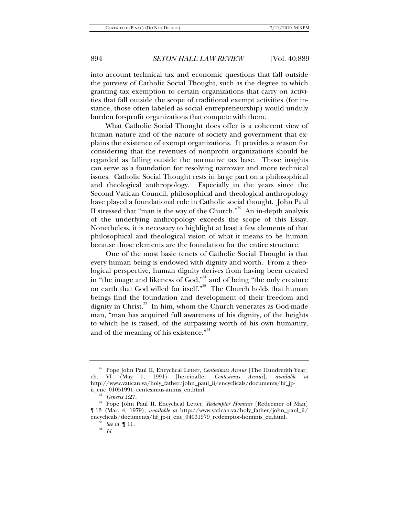into account technical tax and economic questions that fall outside the purview of Catholic Social Thought, such as the degree to which granting tax exemption to certain organizations that carry on activities that fall outside the scope of traditional exempt activities (for instance, those often labeled as social entrepreneurship) would unduly burden for-profit organizations that compete with them.

What Catholic Social Thought does offer is a coherent view of human nature and of the nature of society and government that explains the existence of exempt organizations. It provides a reason for considering that the revenues of nonprofit organizations should be regarded as falling outside the normative tax base. Those insights can serve as a foundation for resolving narrower and more technical issues. Catholic Social Thought rests in large part on a philosophical and theological anthropology. Especially in the years since the Second Vatican Council, philosophical and theological anthropology have played a foundational role in Catholic social thought. John Paul II stressed that "man is the way of the Church."<sup>30</sup> An in-depth analysis of the underlying anthropology exceeds the scope of this Essay. Nonetheless, it is necessary to highlight at least a few elements of that philosophical and theological vision of what it means to be human because those elements are the foundation for the entire structure.

One of the most basic tenets of Catholic Social Thought is that every human being is endowed with dignity and worth. From a theological perspective, human dignity derives from having been created in "the image and likeness of God,"<sup>31</sup> and of being "the only creature on earth that God willed for itself."<sup>32</sup> The Church holds that human beings find the foundation and development of their freedom and dignity in Christ.<sup>33</sup> In him, whom the Church venerates as God-made man, "man has acquired full awareness of his dignity, of the heights to which he is raised, of the surpassing worth of his own humanity, and of the meaning of his existence."<sup>34</sup>

<sup>30</sup> Pope John Paul II, Encyclical Letter, *Centesimus Annus* [The Hundredth Year] ch. VI (May 1, 1991) [hereinafter *Centesimus Annus*], *available at* http://www.vatican.va/holy\_father/john\_paul\_ii/encyclicals/documents/hf\_jp-

<sup>&</sup>lt;sup>31</sup> Genesis 1:27. **31 Genesis** 1:27. **32** Pope John Paul II, Encyclical Letter, *Redemptor Hominis* [Redeemer of Man] ¶ 13 (Mar. 4, 1979), *available at* http://www.vatican.va/holy\_father/john\_paul\_ii/ encyclicals/documents/hf\_jp-ii\_enc\_04031979\_redemptor-hominis\_en.html. 33 *See id.* ¶ 11. 34 *Id.*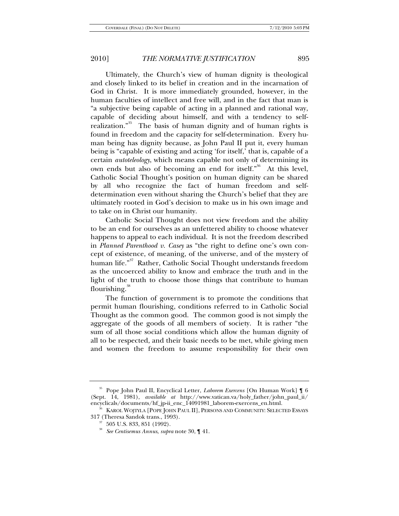Ultimately, the Church's view of human dignity is theological and closely linked to its belief in creation and in the incarnation of God in Christ. It is more immediately grounded, however, in the human faculties of intellect and free will, and in the fact that man is "a subjective being capable of acting in a planned and rational way, capable of deciding about himself, and with a tendency to selfrealization."<sup>35</sup> The basis of human dignity and of human rights is found in freedom and the capacity for self-determination. Every human being has dignity because, as John Paul II put it, every human being is "capable of existing and acting 'for itself,' that is, capable of a certain *autoteleology*, which means capable not only of determining its own ends but also of becoming an end for itself."<sup>36</sup> At this level, Catholic Social Thought's position on human dignity can be shared by all who recognize the fact of human freedom and selfdetermination even without sharing the Church's belief that they are ultimately rooted in God's decision to make us in his own image and to take on in Christ our humanity.

Catholic Social Thought does not view freedom and the ability to be an end for ourselves as an unfettered ability to choose whatever happens to appeal to each individual. It is not the freedom described in *Planned Parenthood v. Casey* as "the right to define one's own concept of existence, of meaning, of the universe, and of the mystery of human life."<sup>37</sup> Rather, Catholic Social Thought understands freedom as the uncoerced ability to know and embrace the truth and in the light of the truth to choose those things that contribute to human flourishing. $^{\infty}$ 

The function of government is to promote the conditions that permit human flourishing, conditions referred to in Catholic Social Thought as the common good. The common good is not simply the aggregate of the goods of all members of society. It is rather "the sum of all those social conditions which allow the human dignity of all to be respected, and their basic needs to be met, while giving men and women the freedom to assume responsibility for their own

<sup>35</sup> Pope John Paul II, Encyclical Letter, *Laborem Exercens* [On Human Work] ¶ 6 (Sept. 14, 1981), *available at* http://www.vatican.va/holy\_father/john\_paul\_ii/

 $6$  KAROL WOJTYLA [POPE JOHN PAUL II], PERSONS AND COMMUNITY: SELECTED ESSAYS 317 (Theresa Sandok trans., 1993). 37 505 U.S. 833, 851 (1992).

<sup>38</sup> *See Centisemus Annus*, *supra* note 30, ¶ 41.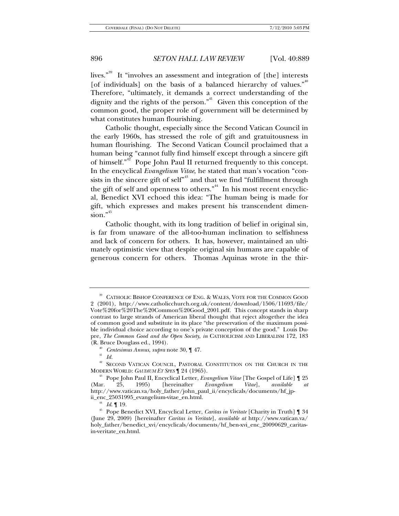lives."<sup>39</sup> It "involves an assessment and integration of [the] interests [of individuals] on the basis of a balanced hierarchy of values."<sup>40</sup> Therefore, "ultimately, it demands a correct understanding of the dignity and the rights of the person. $n<sup>41</sup>$  Given this conception of the common good, the proper role of government will be determined by what constitutes human flourishing.

Catholic thought, especially since the Second Vatican Council in the early 1960s, has stressed the role of gift and gratuitousness in human flourishing. The Second Vatican Council proclaimed that a human being "cannot fully find himself except through a sincere gift of himself."<sup>42</sup> Pope John Paul II returned frequently to this concept. In the encyclical *Evangelium Vitae*, he stated that man's vocation "consists in the sincere gift of self<sup>43</sup> and that we find "fulfillment through the gift of self and openness to others."<sup>44</sup> In his most recent encyclical, Benedict XVI echoed this idea: "The human being is made for gift, which expresses and makes present his transcendent dimen $sion.$ <sup>45</sup>

Catholic thought, with its long tradition of belief in original sin, is far from unaware of the all-too-human inclination to selfishness and lack of concern for others. It has, however, maintained an ultimately optimistic view that despite original sin humans are capable of generous concern for others. Thomas Aquinas wrote in the thir-

<sup>39</sup> CATHOLIC BISHOP CONFERENCE OF ENG. & WALES, VOTE FOR THE COMMON GOOD 2 (2001), http://www.catholicchurch.org.uk/content/download/1506/11693/file/ Vote%20for%20The%20Common%20Good\_2001.pdf. This concept stands in sharp contrast to large strands of American liberal thought that reject altogether the idea of common good and substitute in its place "the preservation of the maximum possible individual choice according to one's private conception of the good." Louis Dupre, *The Common Good and the Open Society*, *in* CATHOLICISM AND LIBERALISM 172, 183 (R. Bruce Douglass ed., 1994).

<sup>&</sup>lt;sup>40</sup> Centesimus Annus, *supra* note 30,  $\P$  47.<br><sup>41</sup> *Id.* 

 $^{42}$  SECOND VATICAN COUNCIL, PASTORAL CONSTITUTION ON THE CHURCH IN THE MODERN WORLD: GAUDIUM ET SPES  $\P$  24 (1965).

<sup>&</sup>lt;sup>43</sup> Pope John Paul II, Encyclical Letter, *Evangelium Vitae* [The Gospel of Life] 1 25 (Mar. 25, 1995) [hereinafter *Evangelium Vitae*], *available at* http://www.vatican.va/holy\_father/john\_paul\_ii/encyclicals/documents/hf\_jp-

<sup>&</sup>lt;sup>44</sup> *Id.* ¶ 19. <br><sup>45</sup> Pope Benedict XVI, Encyclical Letter, *Caritas in Veritate* [Charity in Truth] ¶ 34 (June 29, 2009) [hereinafter *Caritas in Veritate*], *available at* http://www.vatican.va/ holy father/benedict\_xvi/encyclicals/documents/hf\_ben-xvi\_enc\_20090629\_caritasin-veritate\_en.html.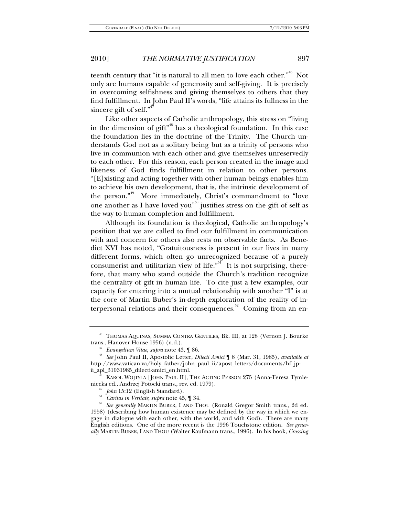teenth century that "it is natural to all men to love each other."<sup>46</sup> Not only are humans capable of generosity and self-giving. It is precisely in overcoming selfishness and giving themselves to others that they find fulfillment. In John Paul II's words, "life attains its fullness in the sincere gift of self." $4$ 

Like other aspects of Catholic anthropology, this stress on "living in the dimension of gift"<sup>48</sup> has a theological foundation. In this case the foundation lies in the doctrine of the Trinity. The Church understands God not as a solitary being but as a trinity of persons who live in communion with each other and give themselves unreservedly to each other. For this reason, each person created in the image and likeness of God finds fulfillment in relation to other persons. "[E]xisting and acting together with other human beings enables him to achieve his own development, that is, the intrinsic development of the person."<sup>49</sup> More immediately, Christ's commandment to "love" one another as I have loved you<sup> $50$ </sup> justifies stress on the gift of self as the way to human completion and fulfillment.

Although its foundation is theological, Catholic anthropology's position that we are called to find our fulfillment in communication with and concern for others also rests on observable facts. As Benedict XVI has noted, "Gratuitousness is present in our lives in many different forms, which often go unrecognized because of a purely consumerist and utilitarian view of life.<sup> $51$ </sup> It is not surprising, therefore, that many who stand outside the Church's tradition recognize the centrality of gift in human life. To cite just a few examples, our capacity for entering into a mutual relationship with another "I" is at the core of Martin Buber's in-depth exploration of the reality of interpersonal relations and their consequences.<sup>52</sup> Coming from an en-

<sup>&</sup>lt;sup>46</sup> THOMAS AQUINAS, SUMMA CONTRA GENTILES, Bk. III, at 128 (Vernon J. Bourke trans., Hanover House 1956)  $(n.d.)$ .

trans., Hanover House 1956) (n.d.). 47 *Evangelium Vitae*, *supra* note 43, ¶ 86. 48 *See* John Paul II, Apostolic Letter, *Dilecti Amici* ¶ 8 (Mar. 31, 1985), *available at* http://www.vatican.va/holy\_father/john\_paul\_ii/apost\_letters/documents/hf\_jp-

<sup>&</sup>lt;sup>49</sup> KAROL WOJTYLA [JOHN PAUL II], THE ACTING PERSON 275 (Anna-Teresa Tymieniecka ed., Andrzej Potocki trans., rev. ed. 1979).

<sup>&</sup>lt;sup>50</sup> *John* 15:12 (English Standard).<br><sup>51</sup> *Caritas in Veritate, supra* note 45, ¶ 34.<br><sup>52</sup> *See generally* MARTIN BUBER, I AND THOU (Ronald Gregor Smith trans., 2d ed. 1958) (describing how human existence may be defined by the way in which we engage in dialogue with each other, with the world, and with God). There are many English editions. One of the more recent is the 1996 Touchstone edition. *See generally* MARTIN BUBER, I AND THOU (Walter Kaufmann trans., 1996). In his book, *Crossing*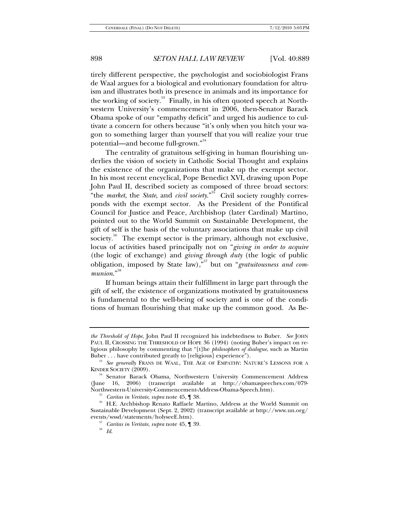tirely different perspective, the psychologist and sociobiologist Frans de Waal argues for a biological and evolutionary foundation for altruism and illustrates both its presence in animals and its importance for the working of society.<sup>53</sup> Finally, in his often quoted speech at Northwestern University's commencement in 2006, then-Senator Barack Obama spoke of our "empathy deficit" and urged his audience to cultivate a concern for others because "it's only when you hitch your wagon to something larger than yourself that you will realize your true potential—and become full-grown."<sup>54</sup>

The centrality of gratuitous self-giving in human flourishing underlies the vision of society in Catholic Social Thought and explains the existence of the organizations that make up the exempt sector. In his most recent encyclical, Pope Benedict XVI, drawing upon Pope John Paul II, described society as composed of three broad sectors: "the *market*, the *State*, and *civil society*."<sup>55</sup> Civil society roughly corresponds with the exempt sector. As the President of the Pontifical Council for Justice and Peace, Archbishop (later Cardinal) Martino, pointed out to the World Summit on Sustainable Development, the gift of self is the basis of the voluntary associations that make up civil society.<sup>56</sup> The exempt sector is the primary, although not exclusive, locus of activities based principally not on "*giving in order to acquire* (the logic of exchange) and *giving through duty* (the logic of public obligation, imposed by State law),"57 but on "*gratuitousness and com*munion."<sup>58</sup>

If human beings attain their fulfillment in large part through the gift of self, the existence of organizations motivated by gratuitousness is fundamental to the well-being of society and is one of the conditions of human flourishing that make up the common good. As Be-

*the Threshold of Hope*, John Paul II recognized his indebtedness to Buber. *See* JOHN PAUL II, CROSSING THE THRESHOLD OF HOPE 36 (1994) (noting Buber's impact on religious philosophy by commenting that "[t]he *philosophers of dialogue*, such as Martin

<sup>&</sup>lt;sup>53</sup> See generally FRANS DE WAAL, THE AGE OF EMPATHY: NATURE'S LESSONS FOR A KINDER SOCIETY (2009).

<sup>&</sup>lt;sup>54</sup> Senator Barack Obama, Northwestern University Commencement Address (June 16, 2006) (transcript available at http://obamaspeeches.com/079-Northwestern-University-Commencement-Address-Obama-Speech.htm).

<sup>&</sup>lt;sup>55</sup> Caritas in Veritate, *supra* note 45, ¶ 38. 55 H.E. Archbishop Renato Raffaele Martino, Address at the World Summit on Sustainable Development (Sept. 2, 2002) (transcript available at http://www.un.org/

<sup>&</sup>lt;sup>57</sup> Caritas in Veritate, *supra* note 45, ¶ 39.  $Id$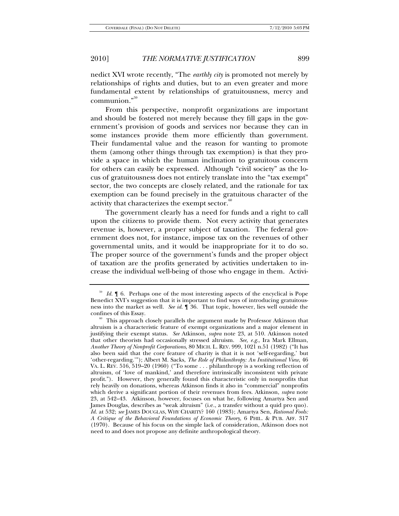nedict XVI wrote recently, "The *earthly city* is promoted not merely by relationships of rights and duties, but to an even greater and more fundamental extent by relationships of gratuitousness, mercy and communion."<sup>59</sup>

From this perspective, nonprofit organizations are important and should be fostered not merely because they fill gaps in the government's provision of goods and services nor because they can in some instances provide them more efficiently than government. Their fundamental value and the reason for wanting to promote them (among other things through tax exemption) is that they provide a space in which the human inclination to gratuitous concern for others can easily be expressed. Although "civil society" as the locus of gratuitousness does not entirely translate into the "tax exempt" sector, the two concepts are closely related, and the rationale for tax exemption can be found precisely in the gratuitous character of the activity that characterizes the exempt sector.<sup><sup>60</sup></sup>

The government clearly has a need for funds and a right to call upon the citizens to provide them. Not every activity that generates revenue is, however, a proper subject of taxation. The federal government does not, for instance, impose tax on the revenues of other governmental units, and it would be inappropriate for it to do so. The proper source of the government's funds and the proper object of taxation are the profits generated by activities undertaken to increase the individual well-being of those who engage in them. Activi-

<sup>&</sup>lt;sup>59</sup> Id. ¶ 6. Perhaps one of the most interesting aspects of the encyclical is Pope Benedict XVI's suggestion that it is important to find ways of introducing gratuitousness into the market as well. *See id*. ¶ 36. That topic, however, lies well outside the

 $60$  This approach closely parallels the argument made by Professor Atkinson that altruism is a characteristic feature of exempt organizations and a major element in justifying their exempt status. *See* Atkinson, *supra* note 23, at 510. Atkinson noted that other theorists had occasionally stressed altruism. *See, e.g*., Ira Mark Ellman, *Another Theory of Nonprofit Corporations*, 80 MICH. L. REV. 999, 1021 n.51 (1982) ("It has also been said that the core feature of charity is that it is not 'self-regarding,' but 'other-regarding.'"); Albert M. Sacks, *The Role of Philanthropy: An Institutional View*, 46 VA. L. REV. 516, 519–20 (1960) ("To some . . . philanthropy is a working reflection of altruism, of 'love of mankind,' and therefore intrinsically inconsistent with private profit."). However, they generally found this characteristic only in nonprofits that rely heavily on donations, whereas Atkinson finds it also in "commercial" nonprofits which derive a significant portion of their revenues from fees. Atkinson, *supra* note 23, at 542–43. Atkinson, however, focuses on what he, following Amartya Sen and James Douglas, describes as "weak altruism" (i.e., a transfer without a quid pro quo). *Id.* at 532; *see* JAMES DOUGLAS, WHY CHARITY? 160 (1983); Amartya Sen, *Rational Fools: A Critique of the Behavioral Foundations of Economic Theory*, 6 PHIL. & PUB. AFF. 317 (1970). Because of his focus on the simple lack of consideration, Atkinson does not need to and does not propose any definite anthropological theory.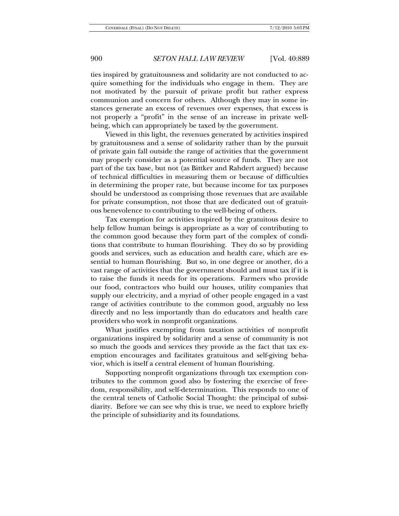ties inspired by gratuitousness and solidarity are not conducted to acquire something for the individuals who engage in them. They are not motivated by the pursuit of private profit but rather express communion and concern for others. Although they may in some instances generate an excess of revenues over expenses, that excess is not properly a "profit" in the sense of an increase in private wellbeing, which can appropriately be taxed by the government.

Viewed in this light, the revenues generated by activities inspired by gratuitousness and a sense of solidarity rather than by the pursuit of private gain fall outside the range of activities that the government may properly consider as a potential source of funds. They are not part of the tax base, but not (as Bittker and Rahdert argued) because of technical difficulties in measuring them or because of difficulties in determining the proper rate, but because income for tax purposes should be understood as comprising those revenues that are available for private consumption, not those that are dedicated out of gratuitous benevolence to contributing to the well-being of others.

Tax exemption for activities inspired by the gratuitous desire to help fellow human beings is appropriate as a way of contributing to the common good because they form part of the complex of conditions that contribute to human flourishing. They do so by providing goods and services, such as education and health care, which are essential to human flourishing. But so, in one degree or another, do a vast range of activities that the government should and must tax if it is to raise the funds it needs for its operations. Farmers who provide our food, contractors who build our houses, utility companies that supply our electricity, and a myriad of other people engaged in a vast range of activities contribute to the common good, arguably no less directly and no less importantly than do educators and health care providers who work in nonprofit organizations.

What justifies exempting from taxation activities of nonprofit organizations inspired by solidarity and a sense of community is not so much the goods and services they provide as the fact that tax exemption encourages and facilitates gratuitous and self-giving behavior, which is itself a central element of human flourishing.

Supporting nonprofit organizations through tax exemption contributes to the common good also by fostering the exercise of freedom, responsibility, and self-determination. This responds to one of the central tenets of Catholic Social Thought: the principal of subsidiarity. Before we can see why this is true, we need to explore briefly the principle of subsidiarity and its foundations.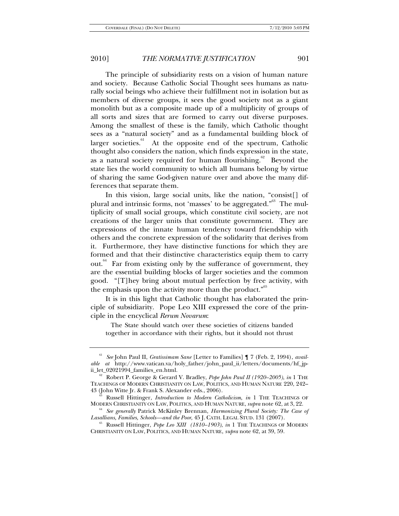The principle of subsidiarity rests on a vision of human nature and society. Because Catholic Social Thought sees humans as naturally social beings who achieve their fulfillment not in isolation but as members of diverse groups, it sees the good society not as a giant monolith but as a composite made up of a multiplicity of groups of all sorts and sizes that are formed to carry out diverse purposes. Among the smallest of these is the family, which Catholic thought sees as a "natural society" and as a fundamental building block of larger societies.<sup>61</sup> At the opposite end of the spectrum, Catholic thought also considers the nation, which finds expression in the state, as a natural society required for human flourishing.<sup>62</sup> Beyond the state lies the world community to which all humans belong by virtue of sharing the same God-given nature over and above the many differences that separate them.

In this vision, large social units, like the nation, "consist[] of plural and intrinsic forms, not 'masses' to be aggregated."<sup>63</sup> The multiplicity of small social groups, which constitute civil society, are not creations of the larger units that constitute government. They are expressions of the innate human tendency toward friendship with others and the concrete expression of the solidarity that derives from it. Furthermore, they have distinctive functions for which they are formed and that their distinctive characteristics equip them to carry out. $\frac{64}{10}$  Far from existing only by the sufferance of government, they are the essential building blocks of larger societies and the common good. "[T]hey bring about mutual perfection by free activity, with the emphasis upon the activity more than the product."<sup>65</sup>

It is in this light that Catholic thought has elaborated the principle of subsidiarity. Pope Leo XIII expressed the core of the principle in the encyclical *Rerum Novarum*:

 The State should watch over these societies of citizens banded together in accordance with their rights, but it should not thrust

<sup>61</sup> *See* John Paul II, *Gratissimam Sane* [Letter to Families] ¶ 7 (Feb. 2, 1994), *available at* http://www.vatican.va/holy\_father/john\_paul\_ii/letters/documents/hf\_jp-

<sup>&</sup>lt;sup>62</sup> Robert P. George & Gerard V. Bradley, *Pope John Paul II (1920–2005)*, *in* 1 THE TEACHINGS OF MODERN CHRISTIANITY ON LAW, POLITICS, AND HUMAN NATURE 220, 242–

<sup>43 (</sup>John Witte Jr. & Frank S. Alexander eds., 2006).<br><sup>63</sup> Russell Hittinger, *Introduction to Modern Catholicism*, *in* 1 THE TEACHINGS OF MODERN CHRISTIANITY ON LAW, POLITICS, AND HUMAN NATURE, *supra* note 62, at 3, 22.

<sup>&</sup>lt;sup>64</sup> See generally Patrick McKinley Brennan, *Harmonizing Plural Society: The Case of Lasallians, Families, Schools—and the Poor, 45 J. CATH. LEGAL STUD. 131 (2007).* 

<sup>&</sup>lt;sup>65</sup> Russell Hittinger, *Pope Leo XIII (1810–1903)*, *in* 1 The Teachings of Modern CHRISTIANITY ON LAW, POLITICS, AND HUMAN NATURE, *supra* note 62, at 39, 59.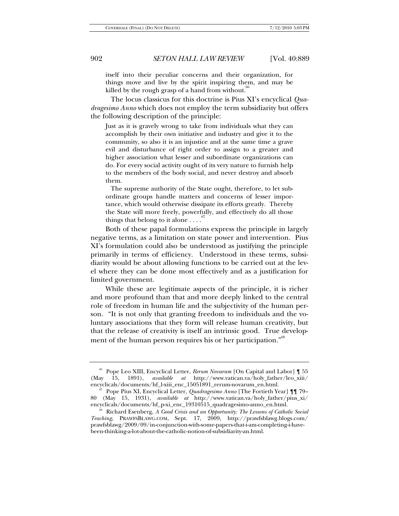itself into their peculiar concerns and their organization, for things move and live by the spirit inspiring them, and may be killed by the rough grasp of a hand from without.

 The locus classicus for this doctrine is Pius XI's encyclical *Quadragesimo Anno* which does not employ the term subsidiarity but offers the following description of the principle:

Just as it is gravely wrong to take from individuals what they can accomplish by their own initiative and industry and give it to the community, so also it is an injustice and at the same time a grave evil and disturbance of right order to assign to a greater and higher association what lesser and subordinate organizations can do. For every social activity ought of its very nature to furnish help to the members of the body social, and never destroy and absorb them.

 The supreme authority of the State ought, therefore, to let subordinate groups handle matters and concerns of lesser importance, which would otherwise dissipate its efforts greatly. Thereby the State will more freely, powerfully, and effectively do all those things that belong to it alone  $\dots$ .

Both of these papal formulations express the principle in largely negative terms, as a limitation on state power and intervention. Pius XI's formulation could also be understood as justifying the principle primarily in terms of efficiency. Understood in these terms, subsidiarity would be about allowing functions to be carried out at the level where they can be done most effectively and as a justification for limited government.

While these are legitimate aspects of the principle, it is richer and more profound than that and more deeply linked to the central role of freedom in human life and the subjectivity of the human person. "It is not only that granting freedom to individuals and the voluntary associations that they form will release human creativity, but that the release of creativity is itself an intrinsic good. True development of the human person requires his or her participation."<sup>68</sup>

<sup>66</sup> Pope Leo XIII, Encyclical Letter, *Rerum Novarum* [On Capital and Labor] ¶ 55 (May 15, 1891), *available at* http://www.vatican.va/holy\_father/leo\_xiii/

Pope Pius XI, Encyclical Letter, *Quadragesimo Anno* [The Fortieth Year] ¶¶ 79– 80 (May 15, 1931), *available at* http://www.vatican.va/holy\_father/pius\_xi/

 $e^{is}$  Richard Esenberg, *A Good Crisis and an Opportunity: The Lessons of Catholic Social Teaching*, PRAWFSBLAWG.COM, Sept. 17, 2009, http://prawfsblawg.blogs.com/ prawfsblawg/2009/09/in-conjunction-with-some-papers-that-i-am-completing-i-havebeen-thinking-a-lot-about-the-catholic-notion-of-subsidiarity-an.html.